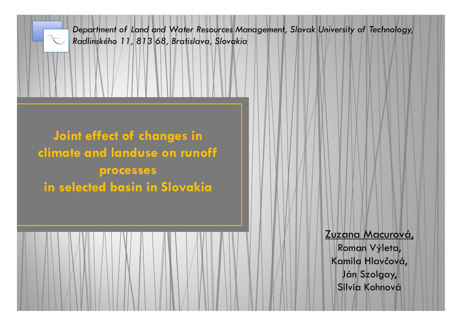Department of Land and Water Resources Management, Slovak University of Technology, Radlinského 11, 813 68, Bratislava, Slovakia

Joint effect of changes in climate and landuse on runoff processes in selected basin in Slovakia

|  |  |  | <b>SANDARD COMPANY</b><br>0080688<br>器<br>88 |  |  | 濨<br>国語語語語語語語<br>繱<br>器器<br>嬲 |  | 聡 | <b>MARK</b><br>E<br>排<br>排<br>I<br>甜<br>排<br>甜<br>甜 | Ž<br>a and design<br>B<br>100000 | B<br>æ |  |  |  |
|--|--|--|----------------------------------------------|--|--|-------------------------------|--|---|-----------------------------------------------------|----------------------------------|--------|--|--|--|
|  |  |  |                                              |  |  | 精緻陽陽研磨機関開設                    |  |   | I<br>1111<br>7.144<br>疆                             | 8<br>罶<br>▩                      | ŧ      |  |  |  |

Zuzana Macurová, Roman Výleta,Kamila Hlavčová, Ján Szolgay, Silvia Kohnová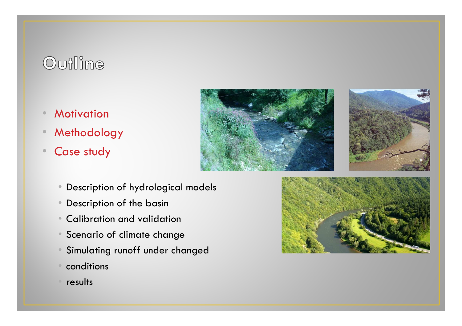# Outline

- $\bullet$ **Motivation**
- $\bullet$ Methodology
- $\bullet$  Case study
	- Description of hydrological models
	- •Description of the basin
	- Calibration and validation
	- Scenario of climate change
	- •Simulating runoff under changed
	- •conditions
	- results





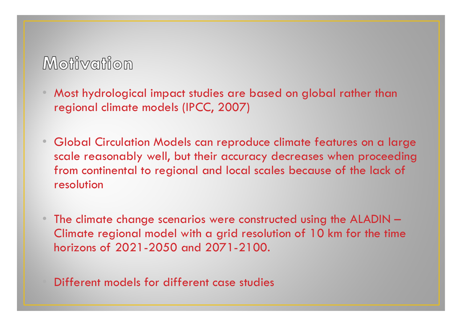## Motivation

- $\bullet$  Most hydrological impact studies are based on global rather than regional climate models (IPCC, 2007)
- $\bullet$  Global Circulation Models can reproduce climate features on a large scale reasonably well, but their accuracy decreases when proceeding from continental to regional and local scales because of the lack of resolution
- $\bullet$  The climate change scenarios were constructed using the ALADIN – Climate regional model with a grid resolution of 10 km for the time horizons of 2021-2050 and 2071-2100.
- Different models for different case studies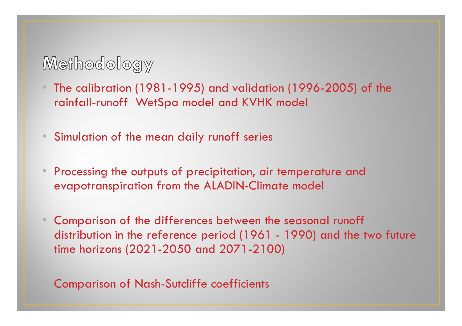## Methodology

- The calibration (1981-1995) and validation (1996-2005) of the rainfall-runoff WetSpa model and KVHK model
- $\bullet$ Simulation of the mean daily runoff series
- • Processing the outputs of precipitation, air temperature and evapotranspiration from the ALADIN-Climate model
- Comparison of the differences between the seasonal runoff distribution in the reference period (1961 - 1990) and the two future time horizons (2021-2050 and 2071-2100)

Comparison of Nash-Sutcliffe coefficients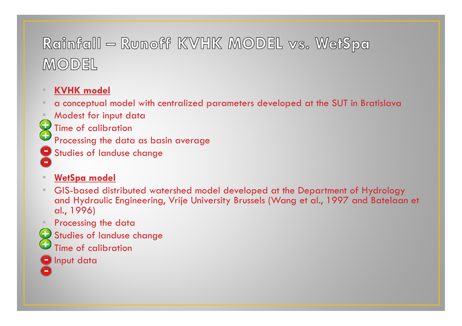# Rainfall – Runoff KVHK MODEL vs. WetSpa MODEL

KVHK model

•

•

- $\bullet$ a conceptual model with centralized parameters developed at the SUT in Bratislava
- •Modest for input data
- Time of calibration
- Processing the data as basin average
- Studies of landuse change

#### •WetSpa model

- • GIS-based distributed watershed model developed at the Department of Hydrology and Hydraulic Engineering, Vrije University Brussels (Wang et al., 1997 and Batelaan et al., 1996)
- •Processing the data
- $\blacktriangleright$  Studies of landuse change
- •Time of calibration
- $\bigcirc$  Input data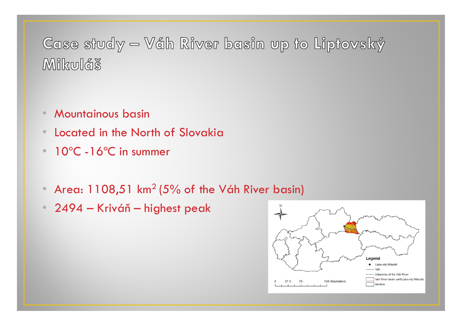Case study – Váh River basin up to Liptovský Mikuláš

- $\bullet$ Mountainous basin
- $\bullet$ Located in the North of Slovakia
- 10ºC -16ºC in summer
- $\bullet$ Area:  $1108,51$  km<sup>2</sup> (5% of the Váh River basin)
- 2494 Kriváň highest pea<sup>k</sup>

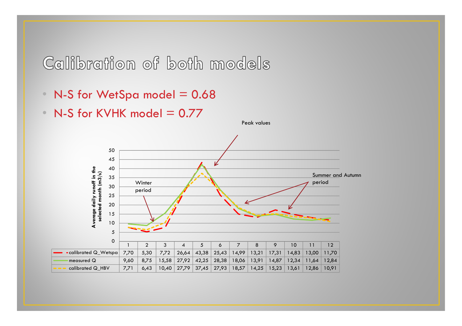Calibration of both models

- N-S for WetSpa model  $= 0.68$
- N-S for KVHK model  $= 0.77$



Peak values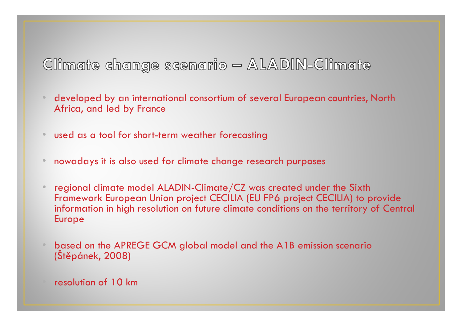#### Climate change scenario  $-\mathbb{A}$ LADIN-Climate

- • developed by an international consortium of several European countries, North Africa, and led by France
- •used as a tool for short-term weather forecasting
- •nowadays it is also used for climate change research purposes
- $\bullet$  regional climate model ALADIN-Climate/CZ was created under the Sixth Framework European Union project CECILIA (EU FP6 project CECILIA) to provide information in high resolution on future climate conditions on the territory of Central Europe
- based on the APREGE GCM global model and the A1B emission scenario (Štěpánek, 2008)
- resolution of 10 km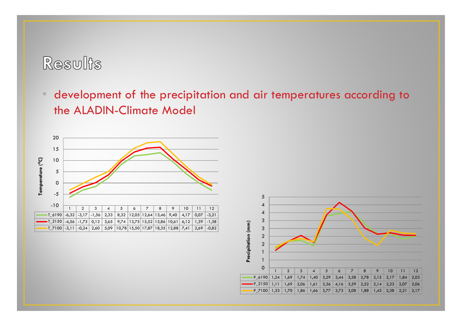#### Results

• development of the precipitation and air temperatures according to the ALADIN-Climate Model



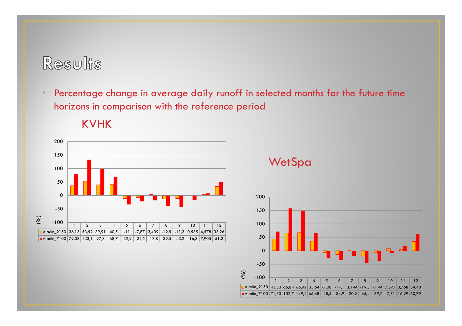### Results

 Percentage change in average daily runoff in selected months for the future time horizons in comparison with the reference period



KVHK

**WetSpa** 

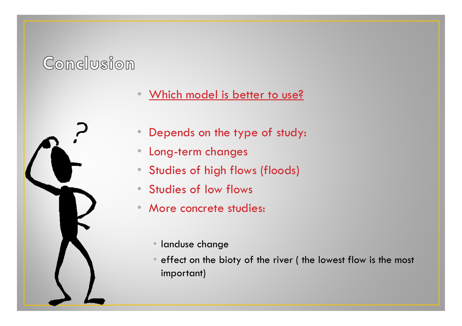# Conclusion

- $\bullet$ Which model is better to use?
- $\bullet$ Depends on the type of study:
- $\bullet$ Long-term changes
- $\bullet$ Studies of high flows (floods)
- •Studies of low flows
- $\bullet$  More concrete studies:
	- landuse change
	- effect on the bioty of the river ( the lowest flow is the most important) important)